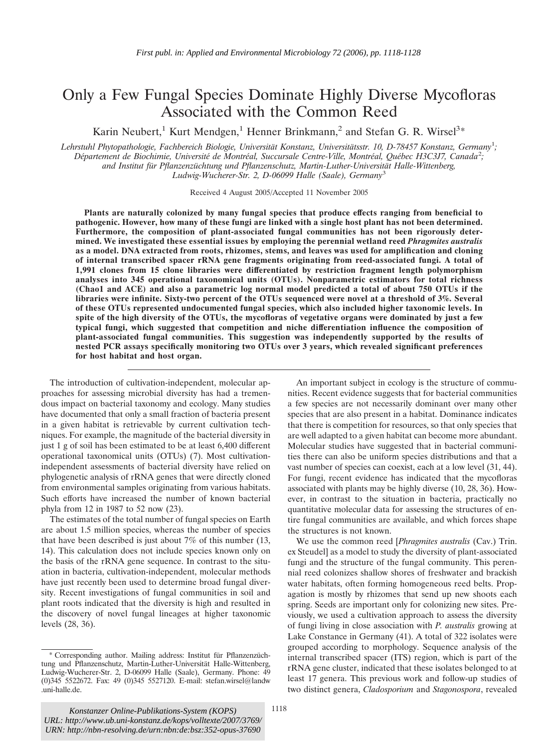# Only a Few Fungal Species Dominate Highly Diverse Mycofloras Associated with the Common Reed

Karin Neubert,<sup>1</sup> Kurt Mendgen,<sup>1</sup> Henner Brinkmann,<sup>2</sup> and Stefan G. R. Wirsel<sup>3\*</sup>

*Lehrstuhl Phytopathologie, Fachbereich Biologie, Universita¨t Konstanz, Universita¨tsstr. 10, D-78457 Konstanz, Germany*<sup>1</sup> *;* Département de Biochimie, Université de Montréal, Succursale Centre-Ville, Montréal, Québec H3C3J7, Canada<sup>2</sup>; *and Institut fu¨r Pflanzenzu¨chtung und Pflanzenschutz, Martin-Luther-Universita¨t Halle-Wittenberg, Ludwig-Wucherer-Str. 2, D-06099 Halle (Saale), Germany*<sup>3</sup>

Received 4 August 2005/Accepted 11 November 2005

**Plants are naturally colonized by many fungal species that produce effects ranging from beneficial to pathogenic. However, how many of these fungi are linked with a single host plant has not been determined. Furthermore, the composition of plant-associated fungal communities has not been rigorously determined. We investigated these essential issues by employing the perennial wetland reed** *Phragmites australis* **as a model. DNA extracted from roots, rhizomes, stems, and leaves was used for amplification and cloning of internal transcribed spacer rRNA gene fragments originating from reed-associated fungi. A total of 1,991 clones from 15 clone libraries were differentiated by restriction fragment length polymorphism analyses into 345 operational taxonomical units (OTUs). Nonparametric estimators for total richness (Chao1 and ACE) and also a parametric log normal model predicted a total of about 750 OTUs if the libraries were infinite. Sixty-two percent of the OTUs sequenced were novel at a threshold of 3%. Several of these OTUs represented undocumented fungal species, which also included higher taxonomic levels. In spite of the high diversity of the OTUs, the mycofloras of vegetative organs were dominated by just a few typical fungi, which suggested that competition and niche differentiation influence the composition of plant-associated fungal communities. This suggestion was independently supported by the results of nested PCR assays specifically monitoring two OTUs over 3 years, which revealed significant preferences for host habitat and host organ.**

The introduction of cultivation-independent, molecular approaches for assessing microbial diversity has had a tremendous impact on bacterial taxonomy and ecology. Many studies have documented that only a small fraction of bacteria present in a given habitat is retrievable by current cultivation techniques. For example, the magnitude of the bacterial diversity in just 1 g of soil has been estimated to be at least 6,400 different operational taxonomical units (OTUs) (7). Most cultivationindependent assessments of bacterial diversity have relied on phylogenetic analysis of rRNA genes that were directly cloned from environmental samples originating from various habitats. Such efforts have increased the number of known bacterial phyla from 12 in 1987 to 52 now (23).

The estimates of the total number of fungal species on Earth are about 1.5 million species, whereas the number of species that have been described is just about 7% of this number (13, 14). This calculation does not include species known only on the basis of the rRNA gene sequence. In contrast to the situation in bacteria, cultivation-independent, molecular methods have just recently been used to determine broad fungal diversity. Recent investigations of fungal communities in soil and plant roots indicated that the diversity is high and resulted in the discovery of novel fungal lineages at higher taxonomic levels (28, 36).

An important subject in ecology is the structure of communities. Recent evidence suggests that for bacterial communities a few species are not necessarily dominant over many other species that are also present in a habitat. Dominance indicates that there is competition for resources, so that only species that are well adapted to a given habitat can become more abundant. Molecular studies have suggested that in bacterial communities there can also be uniform species distributions and that a vast number of species can coexist, each at a low level (31, 44). For fungi, recent evidence has indicated that the mycofloras associated with plants may be highly diverse (10, 28, 36). However, in contrast to the situation in bacteria, practically no quantitative molecular data for assessing the structures of entire fungal communities are available, and which forces shape the structures is not known.

We use the common reed [*Phragmites australis* (Cav.) Trin. ex Steudel] as a model to study the diversity of plant-associated fungi and the structure of the fungal community. This perennial reed colonizes shallow shores of freshwater and brackish water habitats, often forming homogeneous reed belts. Propagation is mostly by rhizomes that send up new shoots each spring. Seeds are important only for colonizing new sites. Previously, we used a cultivation approach to assess the diversity of fungi living in close association with *P. australis* growing at Lake Constance in Germany (41). A total of 322 isolates were grouped according to morphology. Sequence analysis of the internal transcribed spacer (ITS) region, which is part of the rRNA gene cluster, indicated that these isolates belonged to at least 17 genera. This previous work and follow-up studies of two distinct genera, *Cladosporium* and *Stagonospora*, revealed

<sup>\*</sup> Corresponding author. Mailing address: Institut für Pflanzenzüchtung und Pflanzenschutz, Martin-Luther-Universität Halle-Wittenberg, Ludwig-Wucherer-Str. 2, D-06099 Halle (Saale), Germany. Phone: 49 (0)345 5522672. Fax: 49 (0)345 5527120. E-mail: stefan.wirsel@landw .uni-halle.de.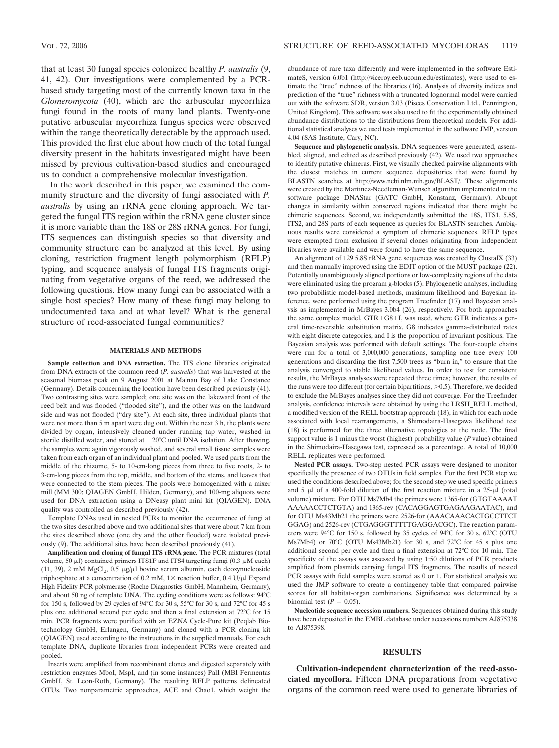that at least 30 fungal species colonized healthy *P. australis* (9, 41, 42). Our investigations were complemented by a PCRbased study targeting most of the currently known taxa in the *Glomeromycota* (40), which are the arbuscular mycorrhiza fungi found in the roots of many land plants. Twenty-one putative arbuscular mycorrhiza fungus species were observed within the range theoretically detectable by the approach used. This provided the first clue about how much of the total fungal diversity present in the habitats investigated might have been missed by previous cultivation-based studies and encouraged us to conduct a comprehensive molecular investigation.

In the work described in this paper, we examined the community structure and the diversity of fungi associated with *P. australis* by using an rRNA gene cloning approach. We targeted the fungal ITS region within the rRNA gene cluster since it is more variable than the 18S or 28S rRNA genes. For fungi, ITS sequences can distinguish species so that diversity and community structure can be analyzed at this level. By using cloning, restriction fragment length polymorphism (RFLP) typing, and sequence analysis of fungal ITS fragments originating from vegetative organs of the reed, we addressed the following questions. How many fungi can be associated with a single host species? How many of these fungi may belong to undocumented taxa and at what level? What is the general structure of reed-associated fungal communities?

#### **MATERIALS AND METHODS**

**Sample collection and DNA extraction.** The ITS clone libraries originated from DNA extracts of the common reed (*P. australis*) that was harvested at the seasonal biomass peak on 9 August 2001 at Mainau Bay of Lake Constance (Germany). Details concerning the location have been described previously (41). Two contrasting sites were sampled; one site was on the lakeward front of the reed belt and was flooded ("flooded site"), and the other was on the landward side and was not flooded ("dry site"). At each site, three individual plants that were not more than 5 m apart were dug out. Within the next 3 h, the plants were divided by organ, intensively cleaned under running tap water, washed in sterile distilled water, and stored at  $-20^{\circ}$ C until DNA isolation. After thawing, the samples were again vigorously washed, and several small tissue samples were taken from each organ of an individual plant and pooled. We used parts from the middle of the rhizome, 5- to 10-cm-long pieces from three to five roots, 2- to 3-cm-long pieces from the top, middle, and bottom of the stems, and leaves that were connected to the stem pieces. The pools were homogenized with a mixer mill (MM 300; QIAGEN GmbH, Hilden, Germany), and 100-mg aliquots were used for DNA extraction using a DNeasy plant mini kit (QIAGEN). DNA quality was controlled as described previously (42).

Template DNAs used in nested PCRs to monitor the occurrence of fungi at the two sites described above and two additional sites that were about 7 km from the sites described above (one dry and the other flooded) were isolated previously (9). The additional sites have been described previously (41).

**Amplification and cloning of fungal ITS rRNA gene.** The PCR mixtures (total volume, 50  $\mu$ l) contained primers ITS1F and ITS4 targeting fungi (0.3  $\mu$ M each) (11, 39), 2 mM  $MgCl<sub>2</sub>$ , 0.5  $\mu$ g/ $\mu$ l bovine serum albumin, each deoxynucleoside triphosphate at a concentration of 0.2 mM,  $1 \times$  reaction buffer, 0.4 U/ $\mu$ l Expand High Fidelity PCR polymerase (Roche Diagnostics GmbH, Mannheim, Germany), and about 50 ng of template DNA. The cycling conditions were as follows: 94°C for 150 s, followed by 29 cycles of 94°C for 30 s, 55°C for 30 s, and 72°C for 45 s plus one additional second per cycle and then a final extension at 72°C for 15 min. PCR fragments were purified with an EZNA Cycle-Pure kit (Peqlab Biotechnology GmbH, Erlangen, Germany) and cloned with a PCR cloning kit (QIAGEN) used according to the instructions in the supplied manuals. For each template DNA, duplicate libraries from independent PCRs were created and pooled.

Inserts were amplified from recombinant clones and digested separately with restriction enzymes MboI, MspI, and (in some instances) PalI (MBI Fermentas GmbH, St. Leon-Roth, Germany). The resulting RFLP patterns delineated OTUs. Two nonparametric approaches, ACE and Chao1, which weight the

abundance of rare taxa differently and were implemented in the software EstimateS, version 6.0b1 (http://viceroy.eeb.uconn.edu/estimates), were used to estimate the "true" richness of the libraries (16). Analysis of diversity indices and prediction of the "true" richness with a truncated lognormal model were carried out with the software SDR, version 3.03 (Pisces Conservation Ltd., Pennington, United Kingdom). This software was also used to fit the experimentally obtained abundance distributions to the distributions from theoretical models. For additional statistical analyses we used tests implemented in the software JMP, version 4.04 (SAS Institute, Cary, NC).

**Sequence and phylogenetic analysis.** DNA sequences were generated, assembled, aligned, and edited as described previously (42). We used two approaches to identify putative chimeras. First, we visually checked pairwise alignments with the closest matches in current sequence depositories that were found by BLASTN searches at http://www.ncbi.nlm.nih.gov/BLAST/. These alignments were created by the Martinez-Needleman-Wunsch algorithm implemented in the software package DNAStar (GATC GmbH, Konstanz, Germany). Abrupt changes in similarity within conserved regions indicated that there might be chimeric sequences. Second, we independently submitted the 18S, ITS1, 5.8S, ITS2, and 28S parts of each sequence as queries for BLASTN searches. Ambiguous results were considered a symptom of chimeric sequences. RFLP types were exempted from exclusion if several clones originating from independent libraries were available and were found to have the same sequence.

An alignment of 129 5.8S rRNA gene sequences was created by ClustalX (33) and then manually improved using the EDIT option of the MUST package (22). Potentially unambiguously aligned portions or low-complexity regions of the data were eliminated using the program g-blocks (5). Phylogenetic analyses, including two probabilistic model-based methods, maximum likelihood and Bayesian inference, were performed using the program Treefinder (17) and Bayesian analysis as implemented in MrBayes 3.0b4 (26), respectively. For both approaches the same complex model,  $GTR+GS+I$ , was used, where  $GTR$  indicates a general time-reversible substitution matrix, G8 indicates gamma-distributed rates with eight discrete categories, and I is the proportion of invariant positions. The Bayesian analysis was performed with default settings. The four-couple chains were run for a total of 3,000,000 generations, sampling one tree every 100 generations and discarding the first 7,500 trees as "burn in," to ensure that the analysis converged to stable likelihood values. In order to test for consistent results, the MrBayes analyses were repeated three times; however, the results of the runs were too different (for certain bipartitions,  $> 0.5$ ). Therefore, we decided to exclude the MrBayes analyses since they did not converge. For the Treefinder analysis, confidence intervals were obtained by using the LRSH\_RELL method, a modified version of the RELL bootstrap approach (18), in which for each node associated with local rearrangements, a Shimodaira-Hasegawa likelihood test (18) is performed for the three alternative topologies at the node. The final support value is 1 minus the worst (highest) probability value (*P* value) obtained in the Shimodaira-Hasegawa test, expressed as a percentage. A total of 10,000 RELL replicates were performed.

**Nested PCR assays.** Two-step nested PCR assays were designed to monitor specifically the presence of two OTUs in field samples. For the first PCR step we used the conditions described above; for the second step we used specific primers and 5  $\mu$ l of a 400-fold dilution of the first reaction mixture in a 25- $\mu$ l (total volume) mixture. For OTU Ms7Mb4 the primers were 1365-for (GTGTAAAAT AAAAACCTCTGTA) and 1365-rev (CACAGGAGTGAGAAGAATAC), and for OTU Ms43Mb21 the primers were 2526-for (AAACAAACACTGCCTTCT GGAG) and 2526-rev (CTGAGGGTTTTTGAGGACGC). The reaction parameters were 94°C for 150 s, followed by 35 cycles of 94°C for 30 s, 62°C (OTU Ms7Mb4) or 70°C (OTU Ms43Mb21) for 30 s, and 72°C for 45 s plus one additional second per cycle and then a final extension at 72°C for 10 min. The specificity of the assays was assessed by using 1:50 dilutions of PCR products amplified from plasmids carrying fungal ITS fragments. The results of nested PCR assays with field samples were scored as 0 or 1. For statistical analysis we used the JMP software to create a contingency table that compared pairwise scores for all habitat-organ combinations. Significance was determined by a binomial test  $(P = 0.05)$ .

**Nucleotide sequence accession numbers.** Sequences obtained during this study have been deposited in the EMBL database under accessions numbers AJ875338 to AJ875398.

## **RESULTS**

**Cultivation-independent characterization of the reed-associated mycoflora.** Fifteen DNA preparations from vegetative organs of the common reed were used to generate libraries of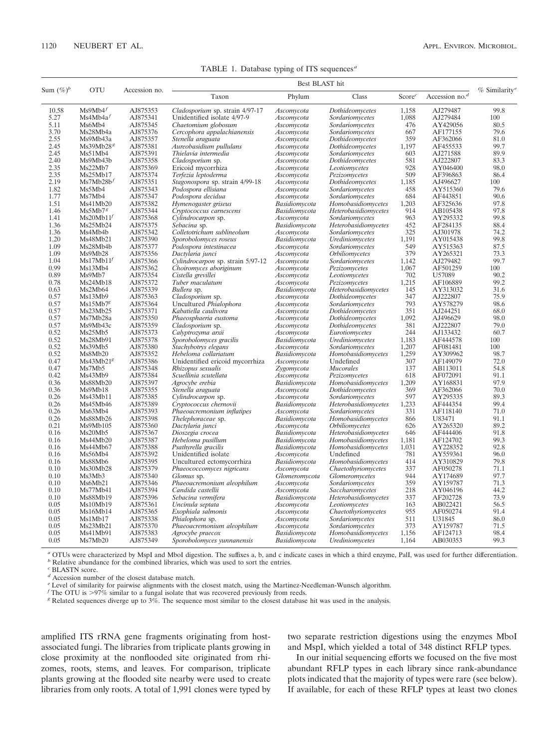|  |  |  |  |  | TABLE 1. Database typing of ITS sequences <sup><math>a</math></sup> |
|--|--|--|--|--|---------------------------------------------------------------------|
|--|--|--|--|--|---------------------------------------------------------------------|

| Sum $(\%)^b$<br><b>OTU</b> |                       | Accession no.        | Best BLAST hit                                 |                          |                                    |                    |                      |                             |
|----------------------------|-----------------------|----------------------|------------------------------------------------|--------------------------|------------------------------------|--------------------|----------------------|-----------------------------|
|                            |                       |                      | Taxon                                          | Phylum                   | Class                              | Score <sup>c</sup> | Accession no. $d$    | $%$ Similarity <sup>e</sup> |
| 10.58                      | Ms9Mb4f               | AJ875353             | Cladosporium sp. strain 4/97-17                | Ascomycota               | Dothideomycetes                    | 1,158              | AJ279487             | 99.8                        |
| 5.27                       | Ms4Mb4a <sup>f</sup>  | AJ875341             | Unidentified isolate 4/97-9                    | Ascomycota               | Sordariomycetes                    | 1,088              | AJ279484             | 100                         |
| 5.11                       | Ms6Mb4                | AJ875345             | Chaetomium globosum                            | Ascomycota               | Sordariomycetes                    | 476                | AY429056             | 80.5                        |
| 3.70                       | Ms28Mb4a              | AJ875376             | Cercophora appalachianensis                    | Ascomycota               | Sordariomycetes                    | 667                | AF177155             | 79.6                        |
| 2.55                       | Ms9Mb43a              | AJ875357             | Stenella araguata                              | Ascomycota               | Dothideomycetes                    | 359                | AF362066             | 81.0                        |
| 2.45                       | Ms39Mb28 <sup>8</sup> | AJ875381             | Aureobasidium pullulans                        | Ascomycota               | Dothideomycetes                    | 1.197              | AF455533             | 99.7                        |
| 2.45                       | Ms51Mb4               | AJ875391             | Thielavia intermedia                           | Ascomycota               | Sordariomycetes                    | 603                | AJ271588             | 89.9                        |
| 2.40                       | Ms9Mb43b              | AJ875358             | Cladosporium sp.                               | Ascomycota               | Dothideomycetes                    | 581                | AJ222807             | 83.3                        |
| 2.35                       | Ms22Mb7               | AJ875369             | Ericoid mycorrhiza                             | Ascomycota               | Leotiomycetes                      | 928                | AY046400             | 98.0                        |
| 2.35                       | Ms25Mb17              | AJ875374             | Terfezia leptoderma                            | Ascomycota               | Pezizomycetes                      | 509                | AF396863             | 86.4                        |
| 2.19                       | Ms7Mb28b <sup>f</sup> | AJ875351             | Stagonospora sp. strain 4/99-18                | Ascomycota               | Dothideomycetes                    | 1,185              | AJ496627             | 100                         |
| 1.82                       | Ms5Mb4                | AJ875343             | Podospora ellisiana                            | Ascomycota               | Sordariomycetes                    | 458                | AY515360             | 79.6                        |
| 1.77                       | Ms7Mb4                | AJ875347             | Podospora decidua                              | Ascomycota               | Sordariomycetes                    | 684                | AF443851             | 90.6                        |
| 1.51                       | Ms41Mb20              | AJ875382             | Hymenogaster griseus                           | Basidiomycota            | Homobasidiomycetes                 | 1,203              | AF325636             | 97.8                        |
| 1.46                       | Ms5Mb7s               | AJ875344             | Cryptococcus carnescens                        | Basidiomycota            | Heterobasidiomycetes               | 914                | AB105438             | 97.8                        |
| 1.41                       | Ms20Mb11'             | AJ875368             | Cylindrocarpon sp.                             | Ascomycota               | Sordariomycetes                    | 963                | AY295332             | 99.8                        |
| 1.36                       | Ms25Mb24              | AJ875375             | Sebacina sp.                                   | Basidiomycota            | Heterobasidiomycetes               | 452                | AF284135             | 88.4                        |
| 1.36                       | Ms4Mb4b               | AJ875342             | Colletotrichum sublineolum                     | Ascomycota               | Sordariomycetes                    | 325                | AJ301978             | 74.2                        |
| 1.20                       | Ms48Mb21              | AJ875390             | Sporobolomyces roseus                          | Basidiomycota            | Urediniomycetes                    | 1,191              | AY015438             | 99.8                        |
| 1.09                       | Ms28Mb4b              | AJ875377             | Podospora intestinacea                         | Ascomycota               | Sordariomycetes                    | 549                | AY515363             | 87.5                        |
| 1.09                       | Ms9Mb28               | AJ875356             | Dactylaria junci                               | Ascomycota               | <i><b>Orbiliomycetes</b></i>       | 379                | AY265321             | 73.3                        |
| 1.04                       | Ms17Mb11 <sup>f</sup> | AJ875366             | Cylindrocarpon sp. strain 5/97-12              | Ascomycota               | Sordariomycetes                    | 1.142              | AJ279482             | 99.7                        |
| 0.99                       | Ms13Mb4               | AJ875362             | Choiromyces aboriginum                         | Ascomycota               | Pezizomycetes                      | 1,067              | AF501259             | 100                         |
| 0.89                       | Ms9Mb7                | AJ875354             | Cistella grevillei                             | Ascomycota               | Leotiomycetes                      | 702                | U57089               | 90.2                        |
| 0.78                       | Ms24Mb18              | AJ875372             | Tuber maculatum                                | Ascomycota               | Pezizomycetes                      | 1,215              | AF106889             | 99.2                        |
| 0.63                       | Ms2Mb64               | AJ875339             | Bullera sp.                                    | Basidiomycota            | Heterobasidiomycetes               | 145<br>347         | AY313032             | 31.6                        |
| 0.57<br>0.57               | Ms13Mb9               | AJ875363<br>AJ875364 | Cladosporium sp.                               | Ascomycota               | Dothideomycetes                    | 793                | AJ222807             | 75.9<br>98.6                |
| 0.57                       | Ms15Mb78<br>Ms23Mb25  | AJ875371             | Uncultured Phialophora<br>Kabatiella caulivora | Ascomycota               | Sordariomycetes<br>Dothideomycetes | 351                | AY578279<br>AJ244251 | 68.0                        |
| 0.57                       | Ms7Mb28a              | AJ875350             | Phaeosphaeria eustoma                          | Ascomycota<br>Ascomycota | Dothideomycetes                    | 1,092              | AJ496629             | 98.0                        |
| 0.57                       | Ms9Mb43c              | AJ875359             | Cladosporium sp.                               | Ascomycota               | Dothideomycetes                    | 381                | AJ222807             | 79.0                        |
| 0.52                       | Ms25Mb5               | AJ875373             | Calyptrozyma arxii                             | Ascomycota               | Eurotiomycetes                     | 244                | AJ133432             | 60.7                        |
| 0.52                       | Ms28Mb91              | AJ875378             | Sporobolomyces gracilis                        | Basidiomycota            | Urediniomycetes                    | 1.183              | AF444578             | 100                         |
| 0.52                       | Ms39Mb5               | AJ875380             | Stachybotrys elegans                           | Ascomycota               | Sordariomycetes                    | 1.207              | AF081481             | 100                         |
| 0.52                       | Ms8Mb20               | AJ875352             | Hebeloma collariatum                           | Basidiomycota            | Homobasidiomycetes                 | 1,259              | AY309962             | 98.7                        |
| 0.47                       | Ms43Mb21 <sup>g</sup> | AJ875386             | Unidentified ericoid mycorrhiza                | Ascomycota               | Undefined                          | 307                | AF149079             | 72.0                        |
| 0.47                       | Ms7Mb5                | AJ875348             | Rhizopus sexualis                              | Zygomycota               | Mucorales                          | 137                | AB113011             | 54.8                        |
| 0.42                       | Ms43Mb9               | AJ875384             | Scuellinia scutellata                          | Ascomycota               | Pezizomycetes                      | 618                | AF072091             | 91.1                        |
| 0.36                       | Ms88Mb20              | AJ875397             | Agrocybe erebia                                | Basidiomycota            | Homobasidiomycetes                 | 1.209              | AY168831             | 97.9                        |
| 0.36                       | Ms9Mb18               | AJ875355             | Stenella araguata                              | Ascomycota               | Dothideomycetes                    | 369                | AF362066             | 70.0                        |
| 0.26                       | Ms43Mb11              | AJ875385             | Cylindrocarpon sp.                             | Ascomycota               | Sordariomycetes                    | 597                | AY295335             | 89.3                        |
| 0.26                       | Ms45Mb46              | AJ875389             | Cryptococcus chernovii                         | Basidiomycota            | Heterobasidiomycetes               | 1,233              | AF444354             | 99.4                        |
| 0.26                       | Ms63Mb4               | AJ875393             | Phaeoacremonium inflatipes                     | Ascomycota               | Sordariomycetes                    | 331                | AF118140             | 71.0                        |
| 0.26                       | Ms88Mb26              | AJ875398             | <i>Thelephoraceae</i> sp.                      | Basidiomycota            | Homobasidiomycetes                 | 866                | U83471               | 91.1                        |
| 0.21                       | Ms9Mb105              | AJ875360             | Dactylaria junci                               | Ascomycota               | <i><b>Orbiliomycetes</b></i>       | 626                | AY265320             | 89.2                        |
| 0.16                       | Ms20Mb5               | AJ875367             | Dioszegia crocea                               | Basidiomycota            | Heterobasidiomycetes               | 646                | AF444406             | 91.8                        |
| 0.16                       | Ms44Mb20              | AJ875387             | Hebeloma pusillum                              | Basidiomycota            | Homobasidiomycetes                 | 1,181              | AF124702             | 99.3                        |
| 0.16                       | Ms44Mb67              | AJ875388             | Psathyrella gracilis                           | Basidiomycota            | Homobasidiomycetes                 | 1.031              | AY228352             | 92.8                        |
| 0.16                       | Ms56Mb4               | AJ875392             | Unidentified isolate                           | Ascomycota               | Undefined                          | 781                | AY559361             | 96.0                        |
| 0.16                       | Ms88Mb6               | AJ875395             | Uncultured ectomycorrhiza                      | Basidiomycota            | Homobasidiomycetes                 | 414                | AY310829             | 79.8                        |
| 0.10                       | Ms30Mb28              | AJ875379             | Phaeococcomyces nigricans                      | Ascomycota               | Chaetothyriomycetes                | 337                | AF050278             | 71.1                        |
| 0.10                       | Ms3Mb3                | AJ875340             | Glomus sp.                                     | Glomeromycota            | Glomeromycetes                     | 944                | AY174689             | 97.7                        |
| 0.10                       | Ms6Mb21               | AJ875346             | Phaeoacremonium aleophilum                     | Ascomycota               | Sordariomycetes                    | 359                | AY159787             | 71.3                        |
| 0.10                       | Ms77Mb41              | AJ875394             | Candida castellii                              | Ascomycota               | Saccharomycetes                    | 218                | AY046196             | 44.2                        |
| 0.10                       | Ms88Mb19              | AJ875396             | Sebacina vermifera                             | Basidiomycota            | Heterobasidiomycetes               | 337                | AF202728             | 73.9                        |
| 0.05                       | Ms10Mb19              | AJ875361             | Uncinula septata                               | Ascomycota               | Leotiomycetes                      | 163                | AB022421             | 56.5                        |
| 0.05                       | Ms16Mb14              | AJ875365             | Exophiala salmonis                             | Ascomycota               | Chaetothyriomycetes                | 955                | AF050274             | 91.4                        |
| 0.05                       | Ms1Mb17               | AJ875338             | Phialophora sp.                                | Ascomycota               | Sordariomycetes                    | 511                | U31845               | 86.0                        |
| 0.05                       | Ms23Mb21              | AJ875370             | Phaeoacremonium aleophilum                     | Ascomycota               | Sordariomycetes                    | 373                | AY159787             | 71.5                        |
| 0.05                       | Ms41Mb91              | AJ875383             | Agrocybe praecox                               | Basidiomycota            | Homobasidiomycetes                 | 1.156              | AF124713             | 98.4                        |
| 0.05                       | Ms7Mb20               | AJ875349             | Sporobolomyces yunnanensis                     | Basidiomycota            | Urediniomycetes                    | 1.164              | AB030353             | 99.3                        |

 $\alpha$  OTUs were characterized by MspI and MboI digestion. The suffixes a, b, and c indicate cases in which a third enzyme, PaII, was used for further differentiation.  $\beta$  Relative abundance for the combined libraries, whi

*<sup>c</sup>* BLASTN score.

*<sup>d</sup>* Accession number of the closest database match.

*e* Level of similarity for pairwise alignments with the closest match, using the Martinez-Needleman-Wunsch algorithm.<br>*f* The OTU is >97% similar to a fungal isolate that was recovered previously from reeds.

*g* Related sequences diverge up to 3%. The sequence most similar to the closest database hit was used in the analysis.

amplified ITS rRNA gene fragments originating from hostassociated fungi. The libraries from triplicate plants growing in close proximity at the nonflooded site originated from rhizomes, roots, stems, and leaves. For comparison, triplicate plants growing at the flooded site nearby were used to create libraries from only roots. A total of 1,991 clones were typed by two separate restriction digestions using the enzymes MboI and MspI, which yielded a total of 348 distinct RFLP types.

In our initial sequencing efforts we focused on the five most abundant RFLP types in each library since rank-abundance plots indicated that the majority of types were rare (see below). If available, for each of these RFLP types at least two clones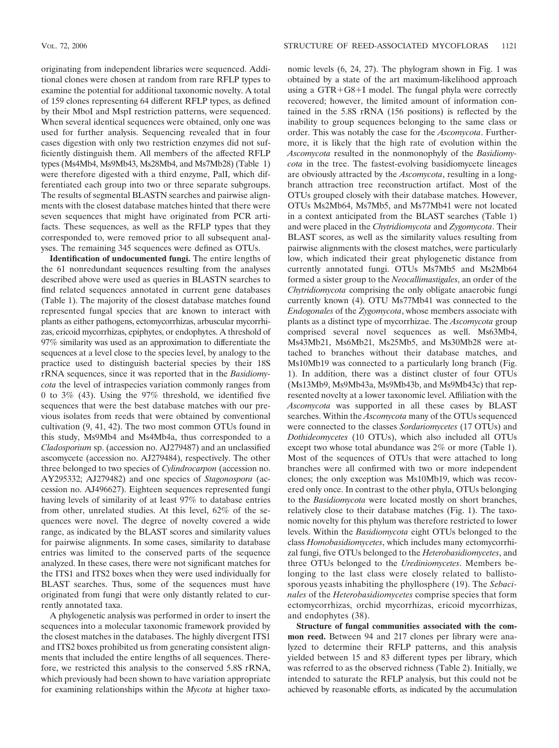originating from independent libraries were sequenced. Additional clones were chosen at random from rare RFLP types to examine the potential for additional taxonomic novelty. A total of 159 clones representing 64 different RFLP types, as defined by their MboI and MspI restriction patterns, were sequenced. When several identical sequences were obtained, only one was used for further analysis. Sequencing revealed that in four cases digestion with only two restriction enzymes did not sufficiently distinguish them. All members of the affected RFLP types (Ms4Mb4, Ms9Mb43, Ms28Mb4, and Ms7Mb28) (Table 1) were therefore digested with a third enzyme, PalI, which differentiated each group into two or three separate subgroups. The results of segmental BLASTN searches and pairwise alignments with the closest database matches hinted that there were seven sequences that might have originated from PCR artifacts. These sequences, as well as the RFLP types that they corresponded to, were removed prior to all subsequent anal-

yses. The remaining 345 sequences were defined as OTUs. **Identification of undocumented fungi.** The entire lengths of the 61 nonredundant sequences resulting from the analyses described above were used as queries in BLASTN searches to find related sequences annotated in current gene databases (Table 1). The majority of the closest database matches found represented fungal species that are known to interact with plants as either pathogens, ectomycorrhizas, arbuscular mycorrhizas, ericoid mycorrhizas, epiphytes, or endophytes. A threshold of 97% similarity was used as an approximation to differentiate the sequences at a level close to the species level, by analogy to the practice used to distinguish bacterial species by their 18S rRNA sequences, since it was reported that in the *Basidiomycota* the level of intraspecies variation commonly ranges from 0 to 3% (43). Using the 97% threshold, we identified five sequences that were the best database matches with our previous isolates from reeds that were obtained by conventional cultivation (9, 41, 42). The two most common OTUs found in this study, Ms9Mb4 and Ms4Mb4a, thus corresponded to a *Cladosporium* sp. (accession no. AJ279487) and an unclassified ascomycete (accession no. AJ279484), respectively. The other three belonged to two species of *Cylindrocarpon* (accession no. AY295332; AJ279482) and one species of *Stagonospora* (accession no. AJ496627). Eighteen sequences represented fungi having levels of similarity of at least 97% to database entries from other, unrelated studies. At this level, 62% of the sequences were novel. The degree of novelty covered a wide range, as indicated by the BLAST scores and similarity values for pairwise alignments. In some cases, similarity to database entries was limited to the conserved parts of the sequence analyzed. In these cases, there were not significant matches for the ITS1 and ITS2 boxes when they were used individually for BLAST searches. Thus, some of the sequences must have originated from fungi that were only distantly related to currently annotated taxa.

A phylogenetic analysis was performed in order to insert the sequences into a molecular taxonomic framework provided by the closest matches in the databases. The highly divergent ITS1 and ITS2 boxes prohibited us from generating consistent alignments that included the entire lengths of all sequences. Therefore, we restricted this analysis to the conserved 5.8S rRNA, which previously had been shown to have variation appropriate for examining relationships within the *Mycota* at higher taxonomic levels (6, 24, 27). The phylogram shown in Fig. 1 was obtained by a state of the art maximum-likelihood approach using a  $GTR+G8+I$  model. The fungal phyla were correctly recovered; however, the limited amount of information contained in the 5.8S rRNA (156 positions) is reflected by the inability to group sequences belonging to the same class or order. This was notably the case for the *Ascomycota*. Furthermore, it is likely that the high rate of evolution within the *Ascomycota* resulted in the nonmonophyly of the *Basidiomycota* in the tree. The fastest-evolving basidiomycete lineages are obviously attracted by the *Ascomycota*, resulting in a longbranch attraction tree reconstruction artifact. Most of the OTUs grouped closely with their database matches. However, OTUs Ms2Mb64, Ms7Mb5, and Ms77Mb41 were not located in a context anticipated from the BLAST searches (Table 1) and were placed in the *Chytridiomycota* and *Zygomycota*. Their BLAST scores, as well as the similarity values resulting from pairwise alignments with the closest matches, were particularly low, which indicated their great phylogenetic distance from currently annotated fungi. OTUs Ms7Mb5 and Ms2Mb64 formed a sister group to the *Neocallimastigales*, an order of the *Chytridiomycota* comprising the only obligate anaerobic fungi currently known (4). OTU Ms77Mb41 was connected to the *Endogonales* of the *Zygomycota*, whose members associate with plants as a distinct type of mycorrhizae. The *Ascomycota* group comprised several novel sequences as well. Ms63Mb4, Ms43Mb21, Ms6Mb21, Ms25Mb5, and Ms30Mb28 were attached to branches without their database matches, and Ms10Mb19 was connected to a particularly long branch (Fig. 1). In addition, there was a distinct cluster of four OTUs (Ms13Mb9, Ms9Mb43a, Ms9Mb43b, and Ms9Mb43c) that represented novelty at a lower taxonomic level. Affiliation with the *Ascomycota* was supported in all these cases by BLAST searches. Within the *Ascomycota* many of the OTUs sequenced were connected to the classes *Sordariomycetes* (17 OTUs) and *Dothideomycetes* (10 OTUs), which also included all OTUs except two whose total abundance was 2% or more (Table 1). Most of the sequences of OTUs that were attached to long branches were all confirmed with two or more independent clones; the only exception was Ms10Mb19, which was recovered only once. In contrast to the other phyla, OTUs belonging to the *Basidiomycota* were located mostly on short branches, relatively close to their database matches (Fig. 1). The taxonomic novelty for this phylum was therefore restricted to lower levels. Within the *Basidiomycota* eight OTUs belonged to the class *Homobasidiomycetes*, which includes many ectomycorrhizal fungi, five OTUs belonged to the *Heterobasidiomycetes*, and three OTUs belonged to the *Urediniomycetes*. Members belonging to the last class were closely related to ballistosporous yeasts inhabiting the phyllosphere (19). The *Sebacinales* of the *Heterobasidiomycetes* comprise species that form ectomycorrhizas, orchid mycorrhizas, ericoid mycorrhizas, and endophytes (38).

**Structure of fungal communities associated with the common reed.** Between 94 and 217 clones per library were analyzed to determine their RFLP patterns, and this analysis yielded between 15 and 83 different types per library, which was referred to as the observed richness (Table 2). Initially, we intended to saturate the RFLP analysis, but this could not be achieved by reasonable efforts, as indicated by the accumulation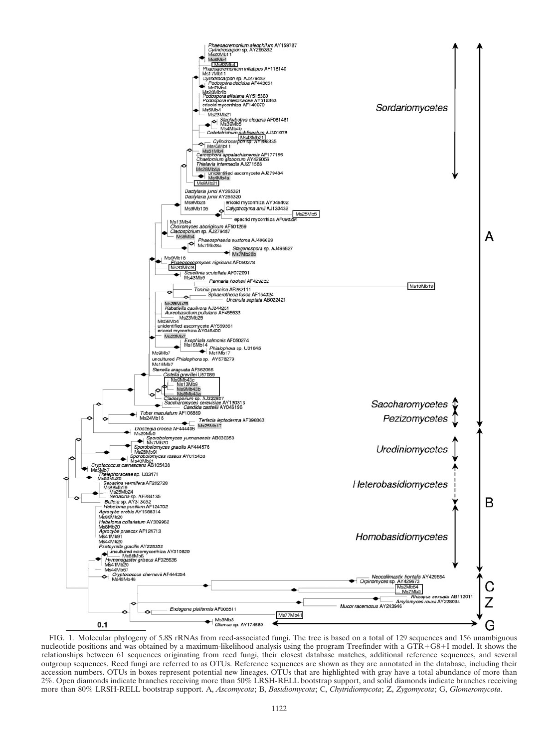

FIG. 1. Molecular phylogeny of 5.8S rRNAs from reed-associated fungi. The tree is based on a total of 129 sequences and 156 unambiguous nucleotide positions and was obtained by a maximum-likelihood analysis using the program Treefinder with a GTR+G8+I model. It shows the relationships between 61 sequences originating from reed fungi, their closest database matches, additional reference sequences, and several outgroup sequences. Reed fungi are referred to as OTUs. Reference sequences are shown as they are annotated in the database, including their accession numbers. OTUs in boxes represent potential new lineages. OTUs that are highlighted with gray have a total abundance of more than 2%. Open diamonds indicate branches receiving more than 50% LRSH-RELL bootstrap support, and solid diamonds indicate branches receiving more than 80% LRSH-RELL bootstrap support. A, *Ascomycota*; B, *Basidiomycota*; C, *Chytridiomycota*; Z, *Zygomycota*; G, *Glomeromycota*.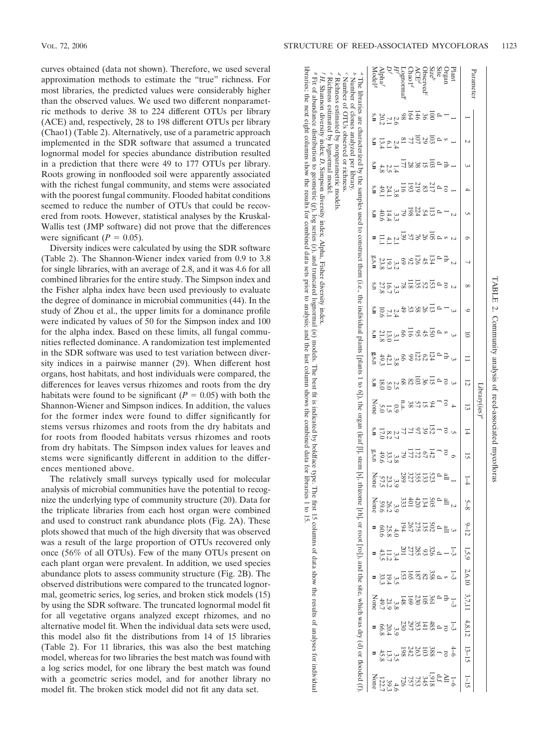VOL. 72, 2006 STRUCTURE OF REED-ASSOCIATED MYCOFLORAS 1123

*Hf*

*Df*

Alpha *f* Model *g*

20.2

s,**n**

The

libraries are

characterized

by

the samples

 used toconstruct

them (i.e.,

the

individual

plants [plants 1 to 6]),

the

organ (leaf [l], stem [s],

rhizome [rh],

or

root [ro]), and

the site,

which

was dry (d)

 orflooded s,**n**

s,**n** 13.4

4.8

49.1s,**n**

s,**n**

 **n**

g,s,**n**

s,n

TABLE2.

Parameter

Parameter

Plant

Site Organ

Size

Observed*c*

ACE*d*

Chao1*d*

Lognormal*e*

 $\overline{2}$ 

–

l

s

o.

ro

o.

217

113

o.

l

s

rh

 $\mathbf{r}$ 

134

 $45$ 

13<br>02

타-효음 28

 $_{83}$ 

219

193

11<sub>6</sub>

79

69

 $\ddot{\pi}$ 

66

198

224

54

103 29107

a8258891

77

 $^{\circ}$ 

2.4

6.1

2.3

24.1

14.4

40.6

11.1

23.8

27.8

10.6s,**n**

s,**n g**,s,n 4.1

19.3

16.7

7.1

13.0

21.8

49.3

18.0

s,**n**

None

s,**n**

g,s,n

None

None

**n**

 **nn**

.<br>ت

17.0

49.6

57.5

59.6

60.6

43.5

33.<br>33.

49.7

None

**n**

42.1

.<br>ت

1.5

8.2

33.7

23.2

26.2

25.8

11.2

19.4

21.9

20.4<br>66.8

1.4

 $\frac{8}{8}$ 

ىن<br>س

2.1

ن<br>2.

بن<br>بن

2.4

 $\tilde{\Xi}$ 

 $\frac{8}{8}$ 

2.5

0.9

2.7

 $\frac{8}{8}$ 

ن<br>ت

ن<br>ن

4.0

3.4

 $\alpha$ 

4

 $\circ$ 

 $\overline{c}$ 

 $\overline{c}$ 

 $\overline{c}$ 

دى

l

o.

s

rh

o.

o.

115

36

94

132 2 1<br>23 9 2 1

13<br>27

5<br>142 6

535<br>535 389

401

333

194

201

267

⊶,

 $\rightarrow$ 

⊶,

o.

o.

ro

ro

ro

ro

all

all

a<br>1502<br>502

s 3888<br>S 358880

102<br>230

169

148

 $\frac{2}{8}$ 

230<br>230

297

d 32<br>1828 p

 $23444$ 

81<br>8158<br>825

<u>ين</u>

دى

دى

دى

4

 $\overline{5}$ 

ం

 $\overline{c}$ 

دى

1–3

l

1–3

1–3

rh

o.

1–3

1–6

4–6 ro f 388 103 263 242 198 3.5 13.7 45.8 **n**

Alian<br>1122<br>1123<br>120<br>212<br>212<br>212<br>2132

 $\alpha$  ទ $-$ ជីននីន

13 28 29<br>13 28 29

 $\frac{1}{2}$ 8 $\frac{1}{2}$ 8

116

103

82

68

n.a.

77

38

5 55 م

a<br>52855

 $\sigma$ 

 $\ddot{\phantom{a}}$ 

 $\infty$ 

9

10

 $\overline{\phantom{0}}$ 

12

13

14

5

 $\frac{1}{4}$ 

5–8

9–12

1,5,9

2,6,10

3,7,11

4,8,12

13–15

1–15

Community

analysis of

reed-associated

Library(ies)Library(ies)

mycofloras

curves obtained (data not shown). Therefore, we used several approximation methods to estimate the "true" richness. For most libraries, the predicted values were considerably higher than the observed values. We used two different nonparametric methods to derive 38 to 224 different OTUs per library (ACE) and, respectively, 28 to 198 different OTUs per library (Chao1) (Table 2). Alternatively, use of a parametric approach implemented in the SDR software that assumed a truncated lognormal model for species abundance distribution resulted in a prediction that there were 49 to 177 OTUs per library. Roots growing in nonflooded soil were apparently associated with the richest fungal community, and stems were associated with the poorest fungal community. Flooded habitat conditions seemed to reduce the number of OTUs that could be recovered from roots. However, statistical analyses by the Kruskal-Wallis test (JMP software) did not prove that the differences were significant  $(P = 0.05)$ .

Diversity indices were calculated by using the SDR software (Table 2). The Shannon-Wiener index varied from 0.9 to 3.8 for single libraries, with an average of 2.8, and it was 4.6 for all combined libraries for the entire study. The Simpson index and the Fisher alpha index have been used previously to evaluate the degree of dominance in microbial communities (44). In the study of Zhou et al., the upper limits for a dominance profile were indicated by values of 50 for the Simpson index and 100 for the alpha index. Based on these limits, all fungal communities reflected dominance. A randomization test implemented in the SDR software was used to test variation between diversity indices in a pairwise manner (29). When different host organs, host habitats, and host individuals were compared, the differences for leaves versus rhizomes and roots from the dry habitats were found to be significant  $(P = 0.05)$  with both the Shannon-Wiener and Simpson indices. In addition, the values for the former index were found to differ significantly for stems versus rhizomes and roots from the dry habitats and for roots from flooded habitats versus rhizomes and roots from dry habitats. The Simpson index values for leaves and stems were significantly different in addition to the differences mentioned above.

The relatively small surveys typically used for molecular analysis of microbial communities have the potential to recognize the underlying type of community structure (20). Data for the triplicate libraries from each host organ were combined and used to construct rank abundance plots (Fig. 2A). These plots showed that much of the high diversity that was observed was a result of the large proportion of OTUs recovered only once (56% of all OTUs). Few of the many OTUs present on each plant organ were prevalent. In addition, we used species abundance plots to assess community structure (Fig. 2B). The observed distributions were compared to the truncated lognormal, geometric series, log series, and broken stick models (15) by using the SDR software. The truncated lognormal model fit for all vegetative organs analyzed except rhizomes, and no alternative model fit. When the individual data sets were used, this model also fit the distributions from 14 of 15 libraries (Table 2). For 11 libraries, this was also the best matching model, whereas for two libraries the best match was found with a log series model, for one library the best match was found with a geometric series model, and for another library no model fit. The broken stick model did not fit any data set.

" The libraries are characterized by the samples used to construct them (i.e., the individual plants [10 of the organ (leaf [I], stem [s], rhizome [rh], or root [ro]), and the site, which was dry (d) or flooded (f). " he i *c* Number of OTUs observed or richness. *d* Richnessestimatedby

 diversity index; *D*, Simpson diversity index; Alpha,Fisher diversity

 (*n*) models. The best fit is indicated by boldface type. The first 15 columns of data show the results of analyses forindividual

 the next eight columns show the results for combined data sets prior to analysis; and the last column shows the combined data for libraries 1 to15.

*i H*, Shannon diversity index, *D*, Simpson diversity index, Alpha, Fisher diversity index. *F* Fit of abundance distribution to geometric (*g*), log series (*s*), and truncated lognormal libraries;

 nonparametric models. *e* Richnessestimated by lognormal model. *f H*, Shannon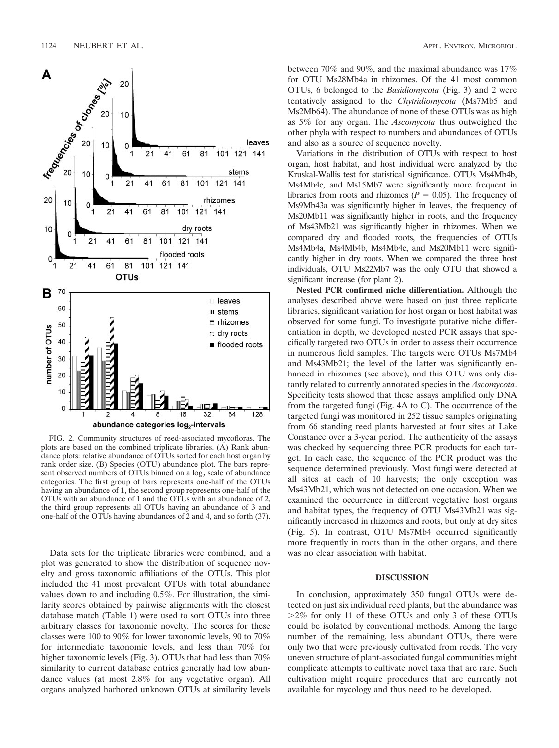

FIG. 2. Community structures of reed-associated mycofloras. The plots are based on the combined triplicate libraries. (A) Rank abundance plots: relative abundance of OTUs sorted for each host organ by rank order size. (B) Species (OTU) abundance plot. The bars represent observed numbers of OTUs binned on a  $log<sub>2</sub>$  scale of abundance categories. The first group of bars represents one-half of the OTUs having an abundance of 1, the second group represents one-half of the OTUs with an abundance of 1 and the OTUs with an abundance of 2, the third group represents all OTUs having an abundance of 3 and one-half of the OTUs having abundances of 2 and 4, and so forth (37).

Data sets for the triplicate libraries were combined, and a plot was generated to show the distribution of sequence novelty and gross taxonomic affiliations of the OTUs. This plot included the 41 most prevalent OTUs with total abundance values down to and including 0.5%. For illustration, the similarity scores obtained by pairwise alignments with the closest database match (Table 1) were used to sort OTUs into three arbitrary classes for taxonomic novelty. The scores for these classes were 100 to 90% for lower taxonomic levels, 90 to 70% for intermediate taxonomic levels, and less than 70% for higher taxonomic levels (Fig. 3). OTUs that had less than  $70\%$ similarity to current database entries generally had low abundance values (at most 2.8% for any vegetative organ). All organs analyzed harbored unknown OTUs at similarity levels between 70% and 90%, and the maximal abundance was 17% for OTU Ms28Mb4a in rhizomes. Of the 41 most common OTUs, 6 belonged to the *Basidiomycota* (Fig. 3) and 2 were tentatively assigned to the *Chytridiomycota* (Ms7Mb5 and Ms2Mb64). The abundance of none of these OTUs was as high as 5% for any organ. The *Ascomycota* thus outweighed the other phyla with respect to numbers and abundances of OTUs and also as a source of sequence novelty.

Variations in the distribution of OTUs with respect to host organ, host habitat, and host individual were analyzed by the Kruskal-Wallis test for statistical significance. OTUs Ms4Mb4b, Ms4Mb4c, and Ms15Mb7 were significantly more frequent in libraries from roots and rhizomes  $(P = 0.05)$ . The frequency of Ms9Mb43a was significantly higher in leaves, the frequency of Ms20Mb11 was significantly higher in roots, and the frequency of Ms43Mb21 was significantly higher in rhizomes. When we compared dry and flooded roots, the frequencies of OTUs Ms4Mb4a, Ms4Mb4b, Ms4Mb4c, and Ms20Mb11 were significantly higher in dry roots. When we compared the three host individuals, OTU Ms22Mb7 was the only OTU that showed a significant increase (for plant 2).

**Nested PCR confirmed niche differentiation.** Although the analyses described above were based on just three replicate libraries, significant variation for host organ or host habitat was observed for some fungi. To investigate putative niche differentiation in depth, we developed nested PCR assays that specifically targeted two OTUs in order to assess their occurrence in numerous field samples. The targets were OTUs Ms7Mb4 and Ms43Mb21; the level of the latter was significantly enhanced in rhizomes (see above), and this OTU was only distantly related to currently annotated species in the *Ascomycota*. Specificity tests showed that these assays amplified only DNA from the targeted fungi (Fig. 4A to C). The occurrence of the targeted fungi was monitored in 252 tissue samples originating from 66 standing reed plants harvested at four sites at Lake Constance over a 3-year period. The authenticity of the assays was checked by sequencing three PCR products for each target. In each case, the sequence of the PCR product was the sequence determined previously. Most fungi were detected at all sites at each of 10 harvests; the only exception was Ms43Mb21, which was not detected on one occasion. When we examined the occurrence in different vegetative host organs and habitat types, the frequency of OTU Ms43Mb21 was significantly increased in rhizomes and roots, but only at dry sites (Fig. 5). In contrast, OTU Ms7Mb4 occurred significantly more frequently in roots than in the other organs, and there was no clear association with habitat.

## **DISCUSSION**

In conclusion, approximately 350 fungal OTUs were detected on just six individual reed plants, but the abundance was  $>2\%$  for only 11 of these OTUs and only 3 of these OTUs could be isolated by conventional methods. Among the large number of the remaining, less abundant OTUs, there were only two that were previously cultivated from reeds. The very uneven structure of plant-associated fungal communities might complicate attempts to cultivate novel taxa that are rare. Such cultivation might require procedures that are currently not available for mycology and thus need to be developed.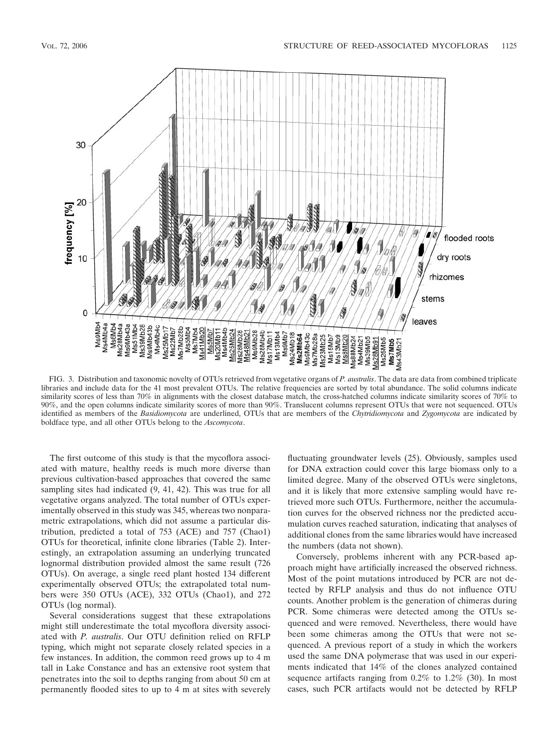

FIG. 3. Distribution and taxonomic novelty of OTUs retrieved from vegetative organs of *P. australis*. The data are data from combined triplicate libraries and include data for the 41 most prevalent OTUs. The relative frequencies are sorted by total abundance. The solid columns indicate similarity scores of less than 70% in alignments with the closest database match, the cross-hatched columns indicate similarity scores of 70% to 90%, and the open columns indicate similarity scores of more than 90%. Translucent columns represent OTUs that were not sequenced. OTUs identified as members of the *Basidiomycota* are underlined, OTUs that are members of the *Chytridiomycota* and *Zygomycota* are indicated by boldface type, and all other OTUs belong to the *Ascomycota*.

The first outcome of this study is that the mycoflora associated with mature, healthy reeds is much more diverse than previous cultivation-based approaches that covered the same sampling sites had indicated (9, 41, 42). This was true for all vegetative organs analyzed. The total number of OTUs experimentally observed in this study was 345, whereas two nonparametric extrapolations, which did not assume a particular distribution, predicted a total of 753 (ACE) and 757 (Chao1) OTUs for theoretical, infinite clone libraries (Table 2). Interestingly, an extrapolation assuming an underlying truncated lognormal distribution provided almost the same result (726 OTUs). On average, a single reed plant hosted 134 different experimentally observed OTUs; the extrapolated total numbers were 350 OTUs (ACE), 332 OTUs (Chao1), and 272 OTUs (log normal).

Several considerations suggest that these extrapolations might still underestimate the total mycoflora diversity associated with *P. australis*. Our OTU definition relied on RFLP typing, which might not separate closely related species in a few instances. In addition, the common reed grows up to 4 m tall in Lake Constance and has an extensive root system that penetrates into the soil to depths ranging from about 50 cm at permanently flooded sites to up to 4 m at sites with severely

fluctuating groundwater levels (25). Obviously, samples used for DNA extraction could cover this large biomass only to a limited degree. Many of the observed OTUs were singletons, and it is likely that more extensive sampling would have retrieved more such OTUs. Furthermore, neither the accumulation curves for the observed richness nor the predicted accumulation curves reached saturation, indicating that analyses of additional clones from the same libraries would have increased the numbers (data not shown).

Conversely, problems inherent with any PCR-based approach might have artificially increased the observed richness. Most of the point mutations introduced by PCR are not detected by RFLP analysis and thus do not influence OTU counts. Another problem is the generation of chimeras during PCR. Some chimeras were detected among the OTUs sequenced and were removed. Nevertheless, there would have been some chimeras among the OTUs that were not sequenced. A previous report of a study in which the workers used the same DNA polymerase that was used in our experiments indicated that 14% of the clones analyzed contained sequence artifacts ranging from 0.2% to 1.2% (30). In most cases, such PCR artifacts would not be detected by RFLP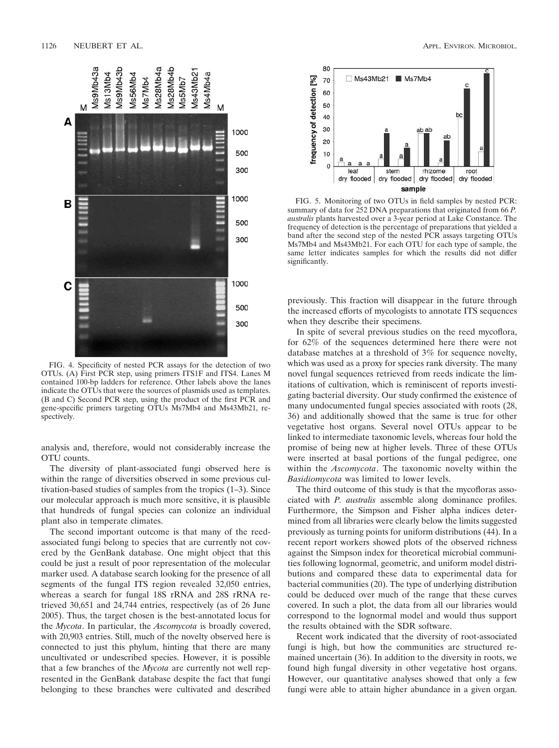

FIG. 4. Specificity of nested PCR assays for the detection of two OTUs. (A) First PCR step, using primers ITS1F and ITS4. Lanes M contained 100-bp ladders for reference. Other labels above the lanes indicate the OTUs that were the sources of plasmids used as templates. (B and C) Second PCR step, using the product of the first PCR and gene-specific primers targeting OTUs Ms7Mb4 and Ms43Mb21, respectively.

analysis and, therefore, would not considerably increase the OTU counts.

The diversity of plant-associated fungi observed here is within the range of diversities observed in some previous cultivation-based studies of samples from the tropics (1–3). Since our molecular approach is much more sensitive, it is plausible that hundreds of fungal species can colonize an individual plant also in temperate climates.

The second important outcome is that many of the reedassociated fungi belong to species that are currently not covered by the GenBank database. One might object that this could be just a result of poor representation of the molecular marker used. A database search looking for the presence of all segments of the fungal ITS region revealed 32,050 entries, whereas a search for fungal 18S rRNA and 28S rRNA retrieved 30,651 and 24,744 entries, respectively (as of 26 June 2005). Thus, the target chosen is the best-annotated locus for the *Mycota*. In particular, the *Ascomycota* is broadly covered, with 20,903 entries. Still, much of the novelty observed here is connected to just this phylum, hinting that there are many uncultivated or undescribed species. However, it is possible that a few branches of the *Mycota* are currently not well represented in the GenBank database despite the fact that fungi belonging to these branches were cultivated and described



FIG. 5. Monitoring of two OTUs in field samples by nested PCR: summary of data for 252 DNA preparations that originated from 66 *P. australis* plants harvested over a 3-year period at Lake Constance. The frequency of detection is the percentage of preparations that yielded a band after the second step of the nested PCR assays targeting OTUs Ms7Mb4 and Ms43Mb21. For each OTU for each type of sample, the same letter indicates samples for which the results did not differ significantly.

previously. This fraction will disappear in the future through the increased efforts of mycologists to annotate ITS sequences when they describe their specimens.

In spite of several previous studies on the reed mycoflora, for 62% of the sequences determined here there were not database matches at a threshold of 3% for sequence novelty, which was used as a proxy for species rank diversity. The many novel fungal sequences retrieved from reeds indicate the limitations of cultivation, which is reminiscent of reports investigating bacterial diversity. Our study confirmed the existence of many undocumented fungal species associated with roots (28, 36) and additionally showed that the same is true for other vegetative host organs. Several novel OTUs appear to be linked to intermediate taxonomic levels, whereas four hold the promise of being new at higher levels. Three of these OTUs were inserted at basal portions of the fungal pedigree, one within the *Ascomycota*. The taxonomic novelty within the *Basidiomycota* was limited to lower levels.

The third outcome of this study is that the mycofloras associated with *P. australis* assemble along dominance profiles. Furthermore, the Simpson and Fisher alpha indices determined from all libraries were clearly below the limits suggested previously as turning points for uniform distributions (44). In a recent report workers showed plots of the observed richness against the Simpson index for theoretical microbial communities following lognormal, geometric, and uniform model distributions and compared these data to experimental data for bacterial communities (20). The type of underlying distribution could be deduced over much of the range that these curves covered. In such a plot, the data from all our libraries would correspond to the lognormal model and would thus support the results obtained with the SDR software.

Recent work indicated that the diversity of root-associated fungi is high, but how the communities are structured remained uncertain (36). In addition to the diversity in roots, we found high fungal diversity in other vegetative host organs. However, our quantitative analyses showed that only a few fungi were able to attain higher abundance in a given organ.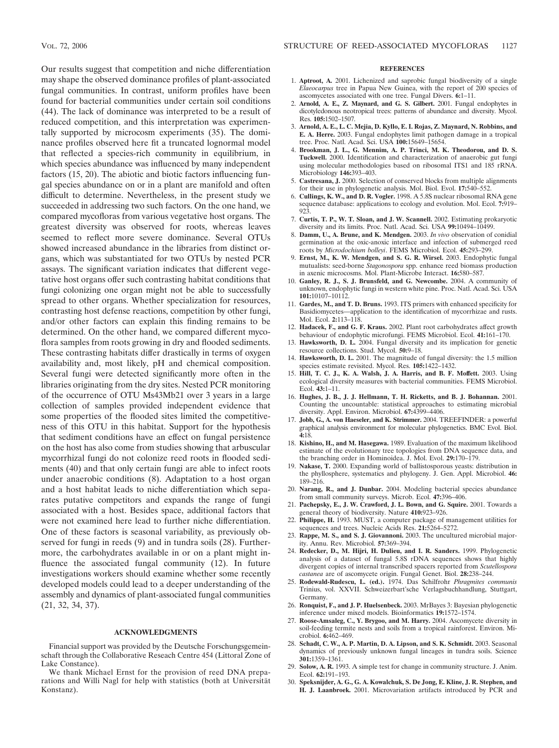Our results suggest that competition and niche differentiation may shape the observed dominance profiles of plant-associated fungal communities. In contrast, uniform profiles have been found for bacterial communities under certain soil conditions (44). The lack of dominance was interpreted to be a result of reduced competition, and this interpretation was experimentally supported by microcosm experiments (35). The dominance profiles observed here fit a truncated lognormal model that reflected a species-rich community in equilibrium, in which species abundance was influenced by many independent factors (15, 20). The abiotic and biotic factors influencing fungal species abundance on or in a plant are manifold and often difficult to determine. Nevertheless, in the present study we succeeded in addressing two such factors. On the one hand, we compared mycofloras from various vegetative host organs. The greatest diversity was observed for roots, whereas leaves seemed to reflect more severe dominance. Several OTUs showed increased abundance in the libraries from distinct organs, which was substantiated for two OTUs by nested PCR assays. The significant variation indicates that different vegetative host organs offer such contrasting habitat conditions that fungi colonizing one organ might not be able to successfully spread to other organs. Whether specialization for resources, contrasting host defense reactions, competition by other fungi, and/or other factors can explain this finding remains to be determined. On the other hand, we compared different mycoflora samples from roots growing in dry and flooded sediments. These contrasting habitats differ drastically in terms of oxygen availability and, most likely, pH and chemical composition. Several fungi were detected significantly more often in the libraries originating from the dry sites. Nested PCR monitoring of the occurrence of OTU Ms43Mb21 over 3 years in a large collection of samples provided independent evidence that some properties of the flooded sites limited the competitiveness of this OTU in this habitat. Support for the hypothesis that sediment conditions have an effect on fungal persistence on the host has also come from studies showing that arbuscular mycorrhizal fungi do not colonize reed roots in flooded sediments (40) and that only certain fungi are able to infect roots under anaerobic conditions (8). Adaptation to a host organ and a host habitat leads to niche differentiation which separates putative competitors and expands the range of fungi associated with a host. Besides space, additional factors that were not examined here lead to further niche differentiation. One of these factors is seasonal variability, as previously observed for fungi in reeds (9) and in tundra soils (28). Furthermore, the carbohydrates available in or on a plant might influence the associated fungal community (12). In future investigations workers should examine whether some recently developed models could lead to a deeper understanding of the assembly and dynamics of plant-associated fungal communities (21, 32, 34, 37).

### **ACKNOWLEDGMENTS**

Financial support was provided by the Deutsche Forschungsgemeinschaft through the Collaborative Reseach Centre 454 (Littoral Zone of Lake Constance).

We thank Michael Ernst for the provision of reed DNA preparations and Willi Nagl for help with statistics (both at Universität Konstanz).

### **REFERENCES**

- 1. **Aptroot, A.** 2001. Lichenized and saprobic fungal biodiversity of a single *Elaeocarpus* tree in Papua New Guinea, with the report of 200 species of ascomycetes associated with one tree. Fungal Divers. **6:**1–11.
- 2. **Arnold, A. E., Z. Maynard, and G. S. Gilbert.** 2001. Fungal endophytes in dicotyledonous neotropical trees: patterns of abundance and diversity. Mycol. Res. **105:**1502–1507.
- 3. **Arnold, A. E., L. C. Mejia, D. Kyllo, E. I. Rojas, Z. Maynard, N. Robbins, and E. A. Herre.** 2003. Fungal endophytes limit pathogen damage in a tropical tree. Proc. Natl. Acad. Sci. USA **100:**15649–15654.
- 4. **Brookman, J. L., G. Mennim, A. P. Trinci, M. K. Theodorou, and D. S. Tuckwell.** 2000. Identification and characterization of anaerobic gut fungi using molecular methodologies based on ribosomal ITS1 and 185 rRNA. Microbiology **146:**393–403.
- 5. **Castresana, J.** 2000. Selection of conserved blocks from multiple alignments for their use in phylogenetic analysis. Mol. Biol. Evol. **17:**540–552.
- 6. **Cullings, K. W., and D. R. Vogler.** 1998. A 5.8S nuclear ribosomal RNA gene sequence database: applications to ecology and evolution. Mol. Ecol. **7:**919–  $923$
- 7. **Curtis, T. P., W. T. Sloan, and J. W. Scannell.** 2002. Estimating prokaryotic diversity and its limits. Proc. Natl. Acad. Sci. USA **99:**10494–10499.
- 8. **Damm, U., A. Brune, and K. Mendgen.** 2003. *In vivo* observation of conidial germination at the oxic-anoxic interface and infection of submerged reed roots by *Microdochium bolleyi*. FEMS Microbiol. Ecol. **45:**293–299.
- 9. **Ernst, M., K. W. Mendgen, and S. G. R. Wirsel.** 2003. Endophytic fungal mutualists: seed-borne *Stagonospora* spp. enhance reed biomass production in axenic microcosms. Mol. Plant-Microbe Interact. **16:**580–587.
- 10. **Ganley, R. J., S. J. Brunsfeld, and G. Newcombe.** 2004. A community of unknown, endophytic fungi in western white pine. Proc. Natl. Acad. Sci. USA **101:**10107–10112.
- 11. **Gardes, M., and T. D. Bruns.** 1993. ITS primers with enhanced specificity for Basidiomycetes—application to the identification of mycorrhizae and rusts. Mol. Ecol. **2:**113–118.
- 12. **Hadacek, F., and G. F. Kraus.** 2002. Plant root carbohydrates affect growth behaviour of endophytic microfungi. FEMS Microbiol. Ecol. **41:**161–170.
- 13. **Hawksworth, D. L.** 2004. Fungal diversity and its implication for genetic resource collections. Stud. Mycol. **50:**9–18.
- 14. **Hawksworth, D. L.** 2001. The magnitude of fungal diversity: the 1.5 million species estimate revisited. Mycol. Res. **105:**1422–1432.
- 15. **Hill, T. C. J., K. A. Walsh, J. A. Harris, and B. F. Moffett.** 2003. Using ecological diversity measures with bacterial communities. FEMS Microbiol. Ecol. **43:**1–11.
- 16. **Hughes, J. B., J. J. Hellmann, T. H. Ricketts, and B. J. Bohannan.** 2001. Counting the uncountable: statistical approaches to estimating microbial diversity. Appl. Environ. Microbiol. **67:**4399–4406.
- 17. **Jobb, G., A. von Haeseler, and K. Strimmer.** 2004. TREEFINDER: a powerful graphical analysis environment for molecular phylogenetics. BMC Evol. Biol. **4:**18.
- 18. **Kishino, H., and M. Hasegawa.** 1989. Evaluation of the maximum likelihood estimate of the evolutionary tree topologies from DNA sequence data, and the branching order in Hominoidea. J. Mol. Evol. **29:**170–179.
- 19. **Nakase, T.** 2000. Expanding world of ballistosporous yeasts: distribution in the phyllosphere, systematics and phylogeny. J. Gen. Appl. Microbiol. **46:** 189–216.
- 20. **Narang, R., and J. Dunbar.** 2004. Modeling bacterial species abundance from small community surveys. Microb. Ecol. **47:**396–406.
- 21. **Pachepsky, E., J. W. Crawford, J. L. Bown, and G. Squire.** 2001. Towards a general theory of biodiversity. Nature **410:**923–926.
- 22. **Philippe, H.** 1993. MUST, a computer package of management utilities for sequences and trees. Nucleic Acids Res. **21:**5264–5272.
- 23. **Rappe, M. S., and S. J. Giovannoni.** 2003. The uncultured microbial majority. Annu. Rev. Microbiol. **57:**369–394.
- 24. **Redecker, D., M. Hijri, H. Dulieu, and I. R. Sanders.** 1999. Phylogenetic analysis of a dataset of fungal 5.8S rDNA sequences shows that highly divergent copies of internal transcribed spacers reported from *Scutellospora castanea* are of ascomycete origin. Fungal Genet. Biol. **28:**238–244.
- 25. **Rodewald-Rudescu, L. (ed.).** 1974. Das Schilfrohr *Phragmites communis* Trinius, vol. XXVII. Schweizerbart'sche Verlagsbuchhandlung, Stuttgart, Germany.
- 26. **Ronquist, F., and J. P. Huelsenbeck.** 2003. MrBayes 3: Bayesian phylogenetic inference under mixed models. Bioinformatics **19:**1572–1574.
- 27. **Roose-Amsaleg, C., Y. Brygoo, and M. Harry.** 2004. Ascomycete diversity in soil-feeding termite nests and soils from a tropical rainforest. Environ. Microbiol. **6:**462–469.
- 28. **Schadt, C. W., A. P. Martin, D. A. Lipson, and S. K. Schmidt.** 2003. Seasonal dynamics of previously unknown fungal lineages in tundra soils. Science **301:**1359–1361.
- 29. **Solow, A. R.** 1993. A simple test for change in community structure. J. Anim. Ecol. **62:**191–193.
- 30. **Speksnijder, A. G., G. A. Kowalchuk, S. De Jong, E. Kline, J. R. Stephen, and H. J. Laanbroek.** 2001. Microvariation artifacts introduced by PCR and